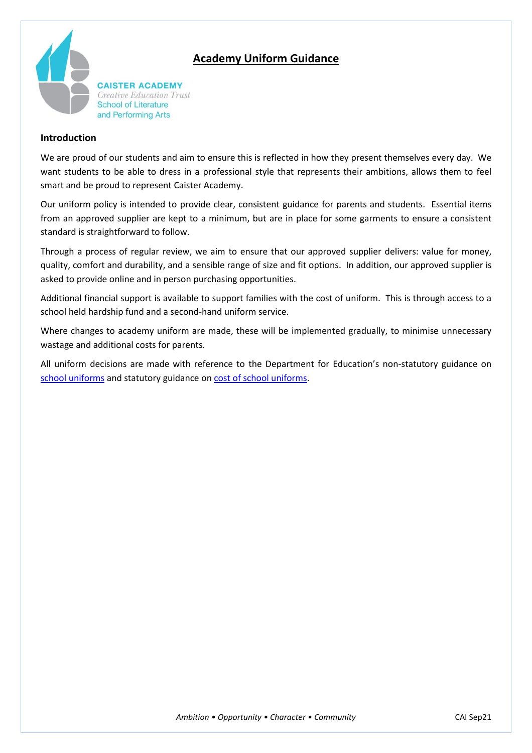# **Academy Uniform Guidance**



**CAISTER ACADEMY** Creative Education Trust **School of Literature** and Performing Arts

### **Introduction**

We are proud of our students and aim to ensure this is reflected in how they present themselves every day. We want students to be able to dress in a professional style that represents their ambitions, allows them to feel smart and be proud to represent Caister Academy.

Our uniform policy is intended to provide clear, consistent guidance for parents and students. Essential items from an approved supplier are kept to a minimum, but are in place for some garments to ensure a consistent standard is straightforward to follow.

Through a process of regular review, we aim to ensure that our approved supplier delivers: value for money, quality, comfort and durability, and a sensible range of size and fit options. In addition, our approved supplier is asked to provide online and in person purchasing opportunities.

Additional financial support is available to support families with the cost of uniform. This is through access to a school held hardship fund and a second-hand uniform service.

Where changes to academy uniform are made, these will be implemented gradually, to minimise unnecessary wastage and additional costs for parents.

All uniform decisions are made with reference to the Department for Education's non-statutory guidance on [school uniforms](https://www.gov.uk/government/publications/school-uniform/school-uniforms) and statutory guidance on [cost of school uniforms.](https://www.gov.uk/government/publications/cost-of-school-uniforms/cost-of-school-uniforms)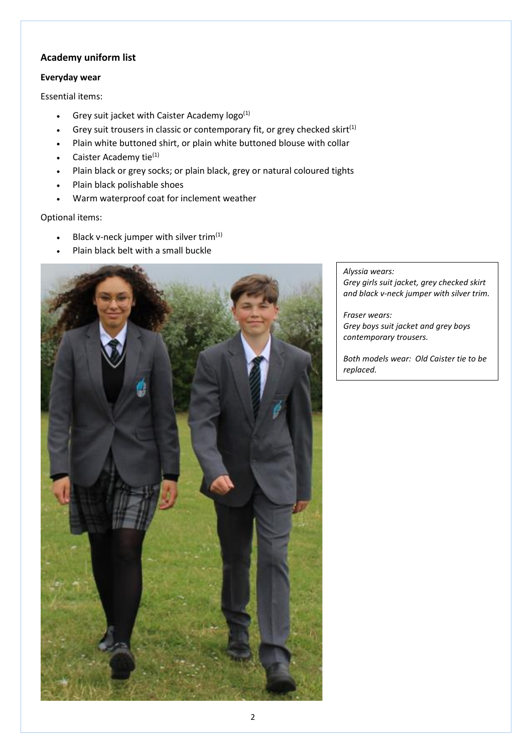# **Academy uniform list**

### **Everyday wear**

Essential items:

- Grey suit jacket with Caister Academy  $logo^{(1)}$
- Grey suit trousers in classic or contemporary fit, or grey checked skirt $^{(1)}$
- Plain white buttoned shirt, or plain white buttoned blouse with collar
- Caister Academy tie<sup>(1)</sup>
- Plain black or grey socks; or plain black, grey or natural coloured tights
- Plain black polishable shoes
- Warm waterproof coat for inclement weather

Optional items:

- Black v-neck jumper with silver trim $(1)$
- Plain black belt with a small buckle



#### *Alyssia wears:*

*Grey girls suit jacket, grey checked skirt and black v-neck jumper with silver trim.*

*Fraser wears: Grey boys suit jacket and grey boys contemporary trousers.*

*Both models wear: Old Caister tie to be replaced.*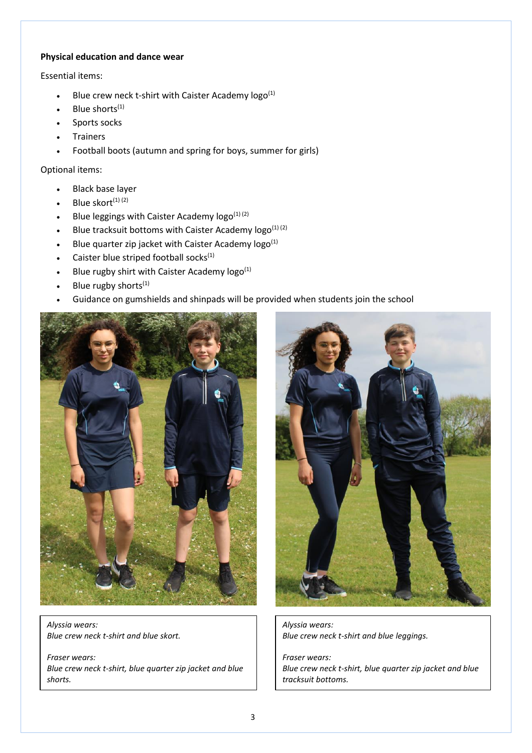### **Physical education and dance wear**

Essential items:

- Blue crew neck t-shirt with Caister Academy  $logo^{(1)}$
- Blue shorts<sup>(1)</sup>
- Sports socks
- **Trainers**
- Football boots (autumn and spring for boys, summer for girls)

Optional items:

- Black base layer
- Blue skort $(1)$   $(2)$
- Blue leggings with Caister Academy  $\log o^{(1)(2)}$
- Blue tracksuit bottoms with Caister Academy  $\log o^{(1)(2)}$
- Blue quarter zip jacket with Caister Academy  $\log o^{(1)}$
- Caister blue striped football socks $<sup>(1)</sup>$ </sup>
- Blue rugby shirt with Caister Academy  $logo^{(1)}$
- Blue rugby shorts $(1)$
- Guidance on gumshields and shinpads will be provided when students join the school



*Alyssia wears: Blue crew neck t-shirt and blue skort.*

*Fraser wears: Blue crew neck t-shirt, blue quarter zip jacket and blue shorts.*



*Alyssia wears: Blue crew neck t-shirt and blue leggings.*

*Fraser wears: Blue crew neck t-shirt, blue quarter zip jacket and blue tracksuit bottoms.*